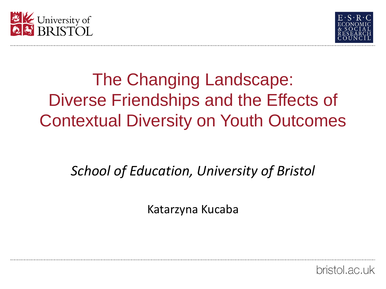



### The Changing Landscape: Diverse Friendships and the Effects of Contextual Diversity on Youth Outcomes

### *School of Education, University of Bristol*

Katarzyna Kucaba

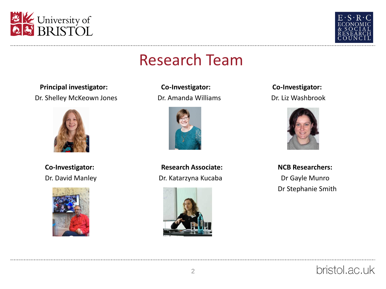



### Research Team

**Principal investigator: Co-Investigator: Co-Investigator:** Dr. Shelley McKeown Jones Dr. Amanda Williams Dr. Liz Washbrook







Co-Investigator: **Research Associate:** NCB Researchers: Dr. David Manley Dr. Katarzyna Kucaba Dr Gayle Munro





Dr Stephanie Smith

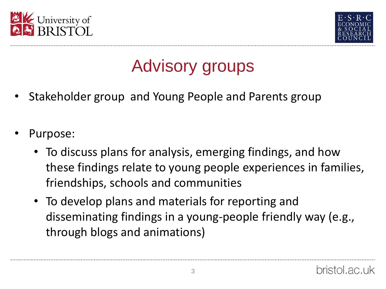



# Advisory groups

- Stakeholder group and Young People and Parents group
- Purpose:
	- To discuss plans for analysis, emerging findings, and how these findings relate to young people experiences in families, friendships, schools and communities
	- To develop plans and materials for reporting and disseminating findings in a young-people friendly way (e.g., through blogs and animations)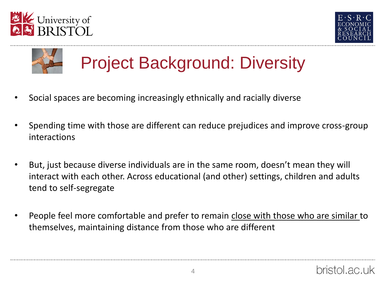





## Project Background: Diversity

- Social spaces are becoming increasingly ethnically and racially diverse
- Spending time with those are different can reduce prejudices and improve cross-group interactions
- But, just because diverse individuals are in the same room, doesn't mean they will interact with each other. Across educational (and other) settings, children and adults tend to self-segregate
- People feel more comfortable and prefer to remain close with those who are similar to themselves, maintaining distance from those who are different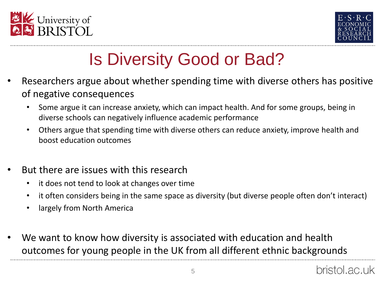



# Is Diversity Good or Bad?

- Researchers argue about whether spending time with diverse others has positive of negative consequences
	- Some argue it can increase anxiety, which can impact health. And for some groups, being in diverse schools can negatively influence academic performance
	- Others argue that spending time with diverse others can reduce anxiety, improve health and boost education outcomes
- But there are issues with this research
	- it does not tend to look at changes over time
	- it often considers being in the same space as diversity (but diverse people often don't interact)
	- largely from North America
- We want to know how diversity is associated with education and health outcomes for young people in the UK from all different ethnic backgrounds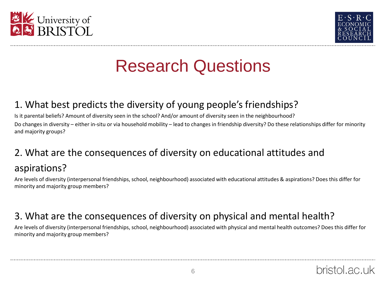



### Research Questions

#### 1. What best predicts the diversity of young people's friendships?

Is it parental beliefs? Amount of diversity seen in the school? And/or amount of diversity seen in the neighbourhood? Do changes in diversity – either in-situ or via household mobility – lead to changes in friendship diversity? Do these relationships differ for minority and majority groups?

#### 2. What are the consequences of diversity on educational attitudes and

#### aspirations?

Are levels of diversity (interpersonal friendships, school, neighbourhood) associated with educational attitudes & aspirations? Does this differ for minority and majority group members?

#### 3. What are the consequences of diversity on physical and mental health?

Are levels of diversity (interpersonal friendships, school, neighbourhood) associated with physical and mental health outcomes? Does this differ for minority and majority group members?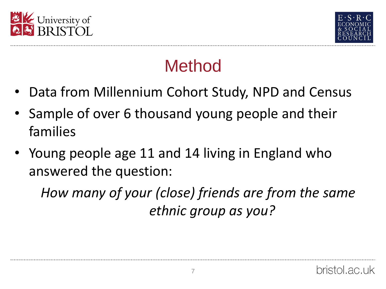



## Method

- Data from Millennium Cohort Study, NPD and Census
- Sample of over 6 thousand young people and their families
- Young people age 11 and 14 living in England who answered the question:

*How many of your (close) friends are from the same ethnic group as you?*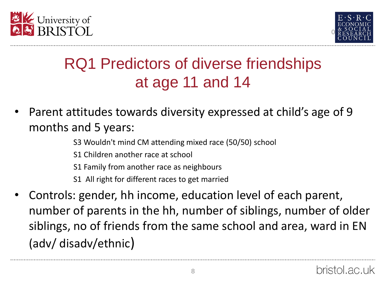



### RQ1 Predictors of diverse friendships at age 11 and 14

- Parent attitudes towards diversity expressed at child's age of 9 months and 5 years:
	- S3 Wouldn't mind CM attending mixed race (50/50) school
	- S1 Children another race at school
	- S1 Family from another race as neighbours
	- S1 All right for different races to get married
- Controls: gender, hh income, education level of each parent, number of parents in the hh, number of siblings, number of older siblings, no of friends from the same school and area, ward in EN (adv/ disadv/ethnic)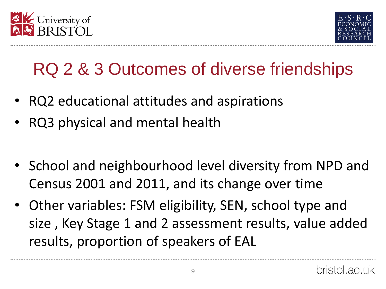



# RQ 2 & 3 Outcomes of diverse friendships

- RQ2 educational attitudes and aspirations
- RQ3 physical and mental health
- School and neighbourhood level diversity from NPD and Census 2001 and 2011, and its change over time
- Other variables: FSM eligibility, SEN, school type and size , Key Stage 1 and 2 assessment results, value added results, proportion of speakers of EAL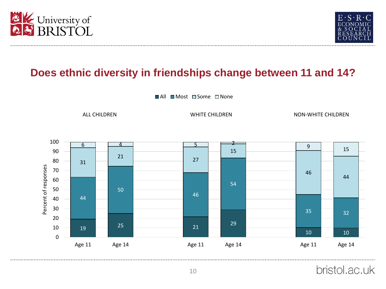



### **Does ethnic diversity in friendships change between 11 and 14?**

■All ■Most □Some □None

ALL CHILDREN NON-WHITE CHILDREN NON-WHITE CHILDREN NON-WHITE CHILDREN



bristol.ac.uk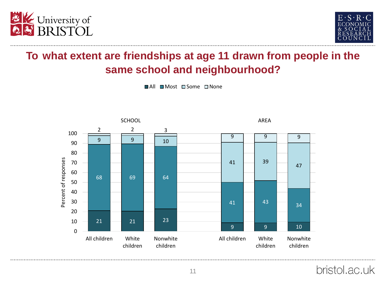



### **To what extent are friendships at age 11 drawn from people in the same school and neighbourhood?**

■All ■ Most ■ Some ■ None



bristol.ac.uk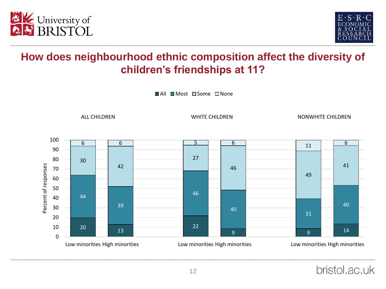



### **How does neighbourhood ethnic composition affect the diversity of children's friendships at 11?**

■All ■Most □Some □None

ALL CHILDREN WHITE CHILDREN NONWHITE CHILDREN

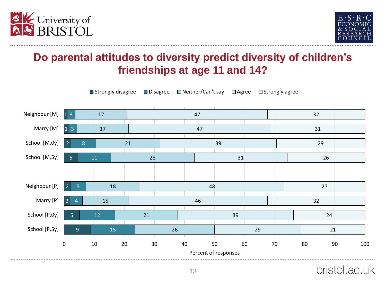



### **Do parental attitudes to diversity predict diversity of children's friendships at age 11 and 14?**



bristol.ac.uk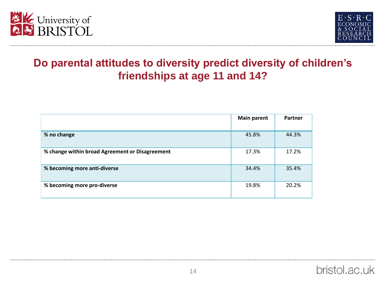



### **Do parental attitudes to diversity predict diversity of children's friendships at age 11 and 14?**

|                                                 | <b>Main parent</b> | Partner |
|-------------------------------------------------|--------------------|---------|
| % no change                                     | 45.8%              | 44.3%   |
| % change within broad Agreement or Disagreement | 17.3%              | 17.2%   |
| % becoming more anti-diverse                    | 34.4%              | 35.4%   |
| % becoming more pro-diverse                     | 19.8%              | 20.2%   |

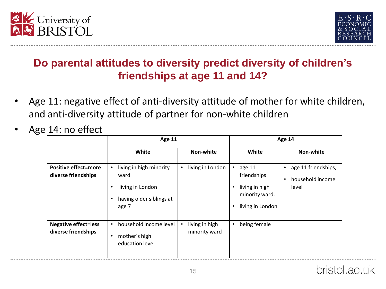



### **Do parental attitudes to diversity predict diversity of children's friendships at age 11 and 14?**

- Age 11: negative effect of anti-diversity attitude of mother for white children, and anti-diversity attitude of partner for non-white children
- Age 14: no effect

|                                                    | Age 11                                                                                                          |                                              | Age 14                                                                                          |                                                                            |  |
|----------------------------------------------------|-----------------------------------------------------------------------------------------------------------------|----------------------------------------------|-------------------------------------------------------------------------------------------------|----------------------------------------------------------------------------|--|
|                                                    | White                                                                                                           | Non-white                                    | White                                                                                           | Non-white                                                                  |  |
| <b>Positive effect=more</b><br>diverse friendships | living in high minority<br>$\bullet$<br>ward<br>living in London<br>٠<br>having older siblings at<br>٠<br>age 7 | living in London<br>$\bullet$                | age 11<br>$\bullet$<br>friendships<br>living in high<br>٠<br>minority ward,<br>living in London | age 11 friendships,<br>$\bullet$<br>household income<br>$\bullet$<br>level |  |
| <b>Negative effect=less</b><br>diverse friendships | household income level<br>$\bullet$<br>mother's high<br>٠<br>education level                                    | living in high<br>$\bullet$<br>minority ward | being female<br>$\bullet$                                                                       |                                                                            |  |



. . . . . . . . . . . . . . . . . . .